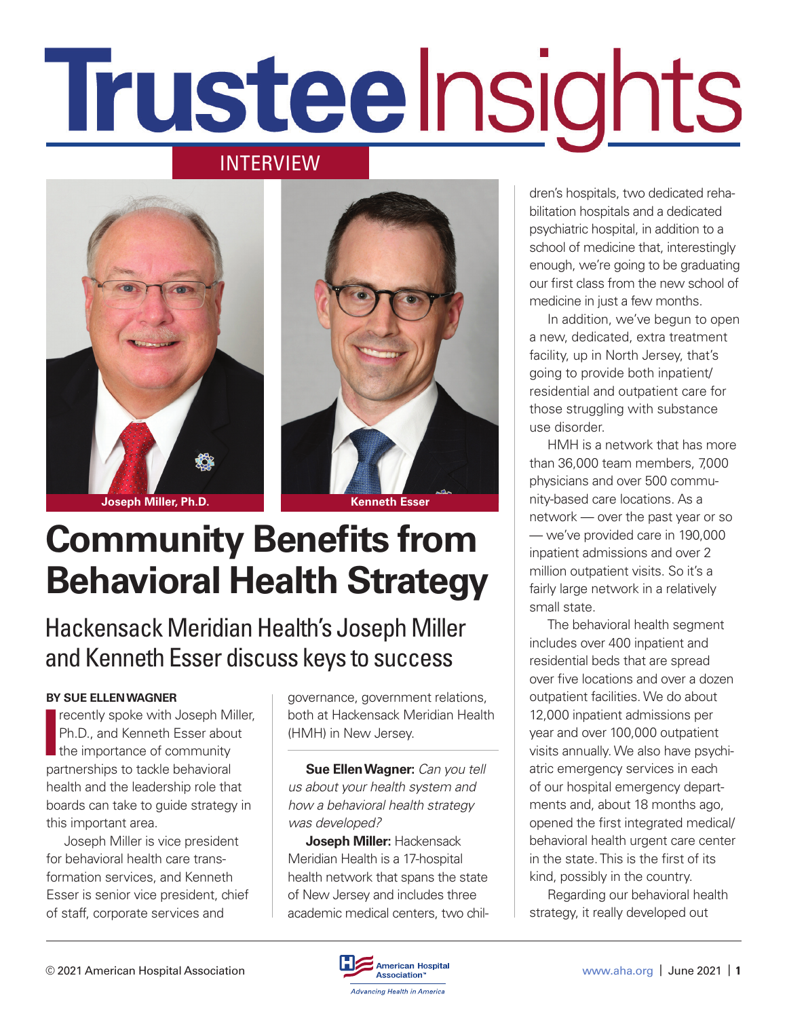# Trusteelnsights

#### INTERVIEW





# **Community Benefits from Behavioral Health Strategy**

#### Hackensack Meridian Health's Joseph Miller and Kenneth Esser discuss keys to success

#### **BY SUE ELLEN WAGNER**

recently spoke with Joseph Miller, Ph.D., and Kenneth Esser about the importance of community partnerships to tackle behavioral health and the leadership role that boards can take to guide strategy in this important area.

Joseph Miller is vice president for behavioral health care transformation services, and Kenneth Esser is senior vice president, chief of staff, corporate services and

governance, government relations, both at Hackensack Meridian Health (HMH) in New Jersey.

**Sue Ellen Wagner:** *Can you tell us about your health system and how a behavioral health strategy was developed?*

**Joseph Miller:** Hackensack Meridian Health is a 17-hospital health network that spans the state of New Jersey and includes three academic medical centers, two children's hospitals, two dedicated rehabilitation hospitals and a dedicated psychiatric hospital, in addition to a school of medicine that, interestingly enough, we're going to be graduating our first class from the new school of medicine in just a few months.

In addition, we've begun to open a new, dedicated, extra treatment facility, up in North Jersey, that's going to provide both inpatient/ residential and outpatient care for those struggling with substance use disorder.

HMH is a network that has more than 36,000 team members, 7,000 physicians and over 500 community-based care locations. As a network — over the past year or so — we've provided care in 190,000 inpatient admissions and over 2 million outpatient visits. So it's a fairly large network in a relatively small state.

The behavioral health segment includes over 400 inpatient and residential beds that are spread over five locations and over a dozen outpatient facilities. We do about 12,000 inpatient admissions per year and over 100,000 outpatient visits annually. We also have psychiatric emergency services in each of our hospital emergency departments and, about 18 months ago, opened the first integrated medical/ behavioral health urgent care center in the state. This is the first of its kind, possibly in the country.

Regarding our behavioral health strategy, it really developed out

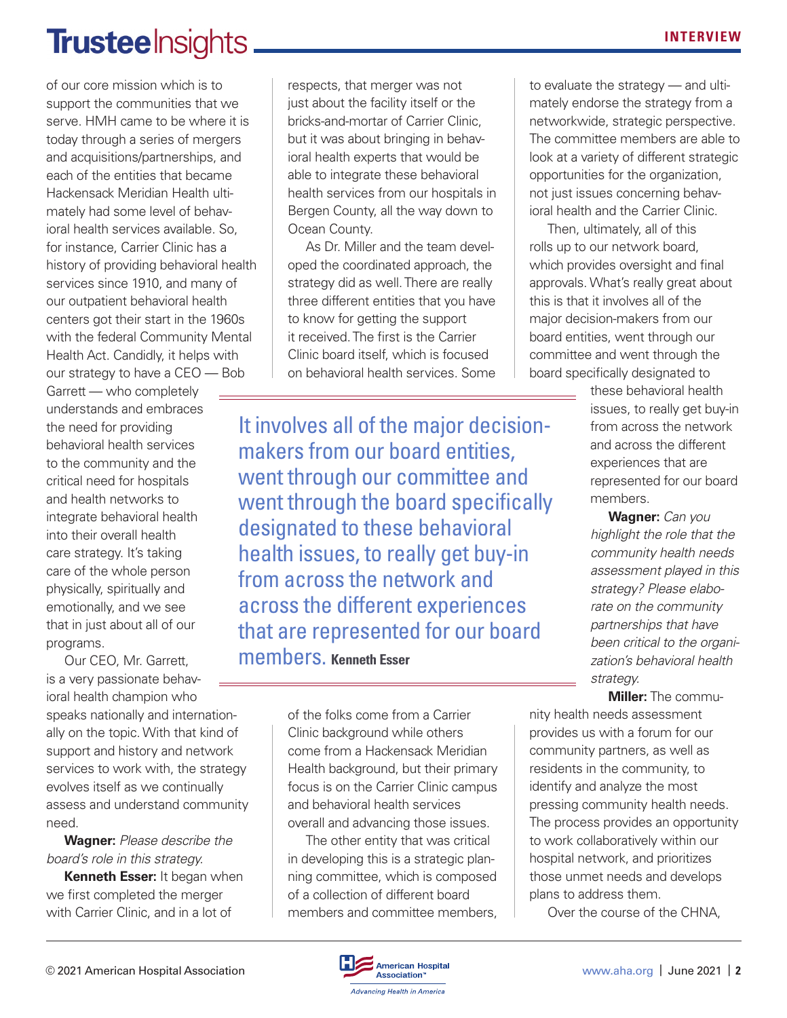#### **Trustee** Insights.

of our core mission which is to support the communities that we serve. HMH came to be where it is today through a series of mergers and acquisitions/partnerships, and each of the entities that became Hackensack Meridian Health ultimately had some level of behavioral health services available. So, for instance, Carrier Clinic has a history of providing behavioral health services since 1910, and many of our outpatient behavioral health centers got their start in the 1960s with the federal Community Mental Health Act. Candidly, it helps with our strategy to have a CEO — Bob

Garrett — who completely understands and embraces the need for providing behavioral health services to the community and the critical need for hospitals and health networks to integrate behavioral health into their overall health care strategy. It's taking care of the whole person physically, spiritually and emotionally, and we see that in just about all of our programs.

Our CEO, Mr. Garrett, is a very passionate behavioral health champion who speaks nationally and internationally on the topic. With that kind of support and history and network services to work with, the strategy evolves itself as we continually assess and understand community need.

**Wagner:** *Please describe the board's role in this strategy.*

**Kenneth Esser:** It began when we first completed the merger with Carrier Clinic, and in a lot of

respects, that merger was not just about the facility itself or the bricks-and-mortar of Carrier Clinic, but it was about bringing in behavioral health experts that would be able to integrate these behavioral health services from our hospitals in Bergen County, all the way down to Ocean County.

As Dr. Miller and the team developed the coordinated approach, the strategy did as well. There are really three different entities that you have to know for getting the support it received. The first is the Carrier Clinic board itself, which is focused on behavioral health services. Some

It involves all of the major decisionmakers from our board entities, went through our committee and went through the board specifically designated to these behavioral health issues, to really get buy-in from across the network and across the different experiences that are represented for our board members. **Kenneth Esser**

> of the folks come from a Carrier Clinic background while others come from a Hackensack Meridian Health background, but their primary focus is on the Carrier Clinic campus and behavioral health services overall and advancing those issues.

The other entity that was critical in developing this is a strategic planning committee, which is composed of a collection of different board members and committee members, to evaluate the strategy — and ultimately endorse the strategy from a networkwide, strategic perspective. The committee members are able to look at a variety of different strategic opportunities for the organization, not just issues concerning behavioral health and the Carrier Clinic.

Then, ultimately, all of this rolls up to our network board, which provides oversight and final approvals. What's really great about this is that it involves all of the major decision-makers from our board entities, went through our committee and went through the board specifically designated to

> these behavioral health issues, to really get buy-in from across the network and across the different experiences that are represented for our board members.

> **Wagner:** *Can you highlight the role that the community health needs assessment played in this strategy? Please elaborate on the community partnerships that have been critical to the organization's behavioral health strategy.*

**Miller:** The community health needs assessment provides us with a forum for our community partners, as well as residents in the community, to identify and analyze the most pressing community health needs. The process provides an opportunity to work collaboratively within our hospital network, and prioritizes those unmet needs and develops plans to address them.

Over the course of the CHNA,

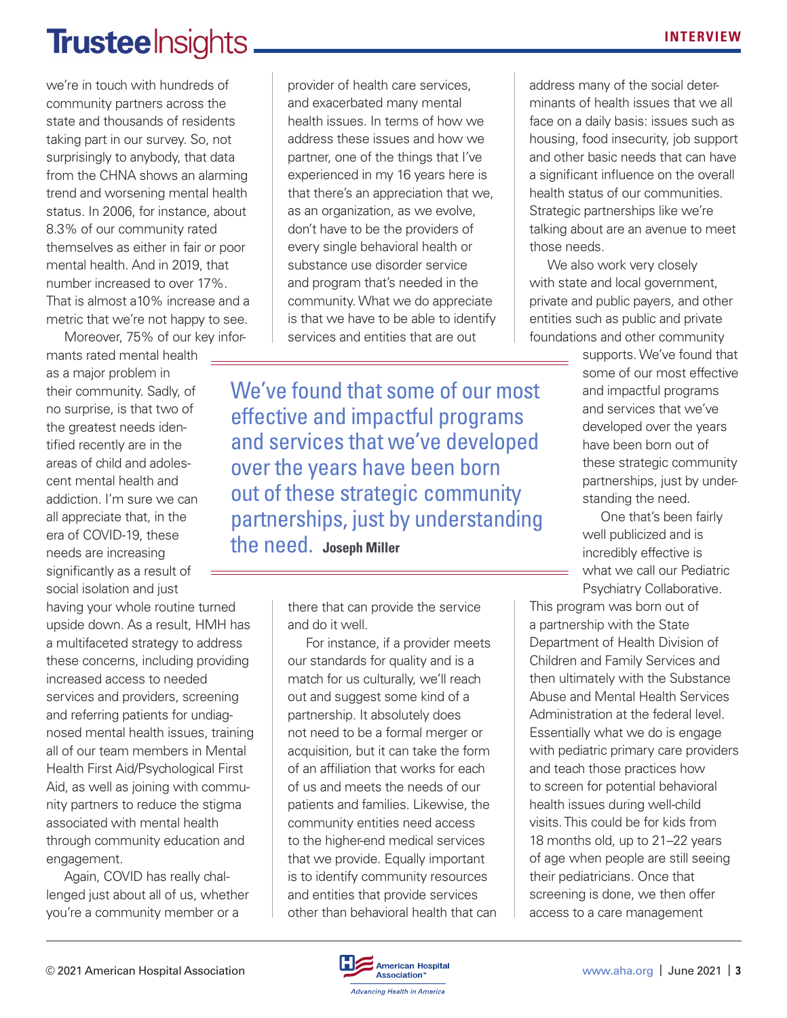### **Trustee** Insights

we're in touch with hundreds of community partners across the state and thousands of residents taking part in our survey. So, not surprisingly to anybody, that data from the CHNA shows an alarming trend and worsening mental health status. In 2006, for instance, about 8.3% of our community rated themselves as either in fair or poor mental health. And in 2019, that number increased to over 17%. That is almost a10% increase and a metric that we're not happy to see.

Moreover, 75% of our key infor-

mants rated mental health as a major problem in their community. Sadly, of no surprise, is that two of the greatest needs identified recently are in the areas of child and adolescent mental health and addiction. I'm sure we can all appreciate that, in the era of COVID-19, these needs are increasing significantly as a result of social isolation and just

having your whole routine turned upside down. As a result, HMH has a multifaceted strategy to address these concerns, including providing increased access to needed services and providers, screening and referring patients for undiagnosed mental health issues, training all of our team members in Mental Health First Aid/Psychological First Aid, as well as joining with community partners to reduce the stigma associated with mental health through community education and engagement.

Again, COVID has really challenged just about all of us, whether you're a community member or a

provider of health care services, and exacerbated many mental health issues. In terms of how we address these issues and how we partner, one of the things that I've experienced in my 16 years here is that there's an appreciation that we, as an organization, as we evolve, don't have to be the providers of every single behavioral health or substance use disorder service and program that's needed in the community. What we do appreciate is that we have to be able to identify services and entities that are out

We've found that some of our most effective and impactful programs and services that we've developed over the years have been born out of these strategic community partnerships, just by understanding the need. **Joseph Miller**

> there that can provide the service and do it well.

For instance, if a provider meets our standards for quality and is a match for us culturally, we'll reach out and suggest some kind of a partnership. It absolutely does not need to be a formal merger or acquisition, but it can take the form of an affiliation that works for each of us and meets the needs of our patients and families. Likewise, the community entities need access to the higher-end medical services that we provide. Equally important is to identify community resources and entities that provide services other than behavioral health that can address many of the social determinants of health issues that we all face on a daily basis: issues such as housing, food insecurity, job support and other basic needs that can have a significant influence on the overall health status of our communities. Strategic partnerships like we're talking about are an avenue to meet those needs.

We also work very closely with state and local government, private and public payers, and other entities such as public and private foundations and other community

supports. We've found that some of our most effective and impactful programs and services that we've developed over the years have been born out of these strategic community partnerships, just by understanding the need.

One that's been fairly well publicized and is incredibly effective is what we call our Pediatric Psychiatry Collaborative.

This program was born out of a partnership with the State Department of Health Division of Children and Family Services and then ultimately with the Substance Abuse and Mental Health Services Administration at the federal level. Essentially what we do is engage with pediatric primary care providers and teach those practices how to screen for potential behavioral health issues during well-child visits. This could be for kids from 18 months old, up to 21–22 years of age when people are still seeing their pediatricians. Once that screening is done, we then offer access to a care management

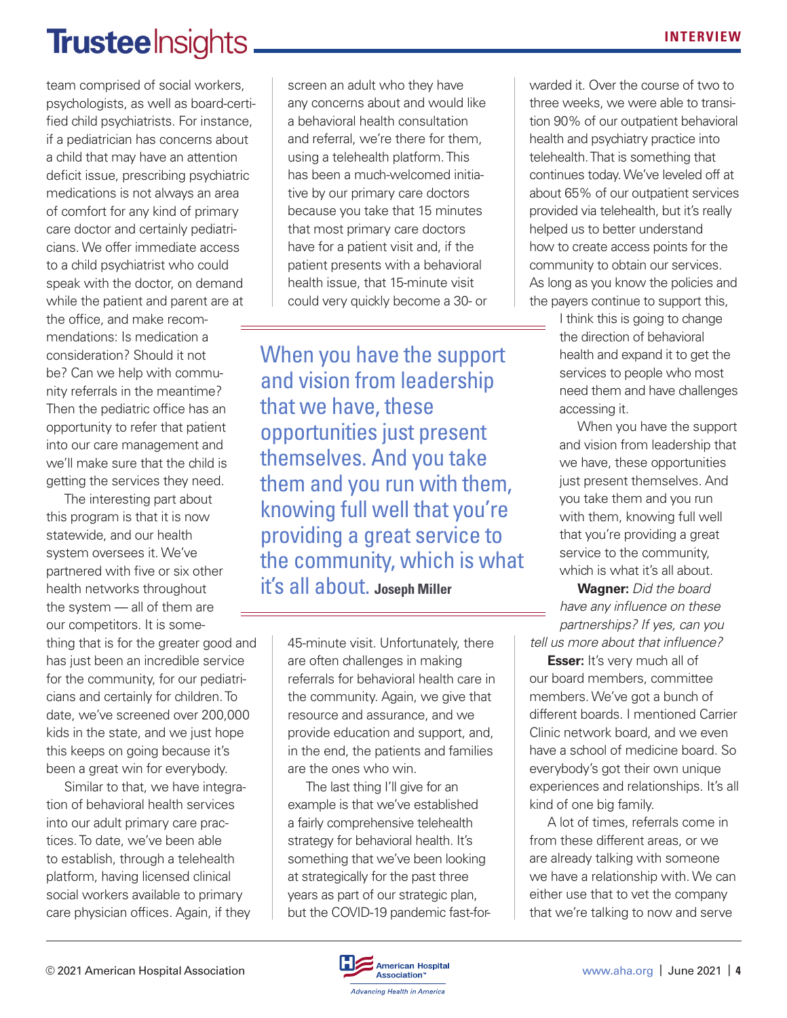## **Trustee** Insights

team comprised of social workers, psychologists, as well as board-certified child psychiatrists. For instance, if a pediatrician has concerns about a child that may have an attention deficit issue, prescribing psychiatric medications is not always an area of comfort for any kind of primary care doctor and certainly pediatricians. We offer immediate access to a child psychiatrist who could speak with the doctor, on demand while the patient and parent are at the office, and make recommendations: Is medication a consideration? Should it not be? Can we help with community referrals in the meantime? Then the pediatric office has an opportunity to refer that patient into our care management and we'll make sure that the child is getting the services they need.

The interesting part about this program is that it is now statewide, and our health system oversees it. We've partnered with five or six other health networks throughout the system — all of them are our competitors. It is something that is for the greater good and has just been an incredible service for the community, for our pediatricians and certainly for children. To date, we've screened over 200,000 kids in the state, and we just hope this keeps on going because it's been a great win for everybody.

Similar to that, we have integration of behavioral health services into our adult primary care practices. To date, we've been able to establish, through a telehealth platform, having licensed clinical social workers available to primary care physician offices. Again, if they screen an adult who they have any concerns about and would like a behavioral health consultation and referral, we're there for them, using a telehealth platform. This has been a much-welcomed initiative by our primary care doctors because you take that 15 minutes that most primary care doctors have for a patient visit and, if the patient presents with a behavioral health issue, that 15-minute visit could very quickly become a 30- or

When you have the support and vision from leadership that we have, these opportunities just present themselves. And you take them and you run with them, knowing full well that you're providing a great service to the community, which is what it's all about. **Joseph Miller**

> 45-minute visit. Unfortunately, there are often challenges in making referrals for behavioral health care in the community. Again, we give that resource and assurance, and we provide education and support, and, in the end, the patients and families are the ones who win.

The last thing I'll give for an example is that we've established a fairly comprehensive telehealth strategy for behavioral health. It's something that we've been looking at strategically for the past three years as part of our strategic plan, but the COVID-19 pandemic fast-forwarded it. Over the course of two to three weeks, we were able to transition 90% of our outpatient behavioral health and psychiatry practice into telehealth. That is something that continues today. We've leveled off at about 65% of our outpatient services provided via telehealth, but it's really helped us to better understand how to create access points for the community to obtain our services. As long as you know the policies and the payers continue to support this,

> I think this is going to change the direction of behavioral health and expand it to get the services to people who most need them and have challenges accessing it.

When you have the support and vision from leadership that we have, these opportunities just present themselves. And you take them and you run with them, knowing full well that you're providing a great service to the community, which is what it's all about.

**Wagner:** *Did the board have any influence on these partnerships? If yes, can you tell us more about that influence?*

**Esser:** It's very much all of our board members, committee members. We've got a bunch of different boards. I mentioned Carrier Clinic network board, and we even have a school of medicine board. So everybody's got their own unique experiences and relationships. It's all kind of one big family.

A lot of times, referrals come in from these different areas, or we are already talking with someone we have a relationship with. We can either use that to vet the company that we're talking to now and serve

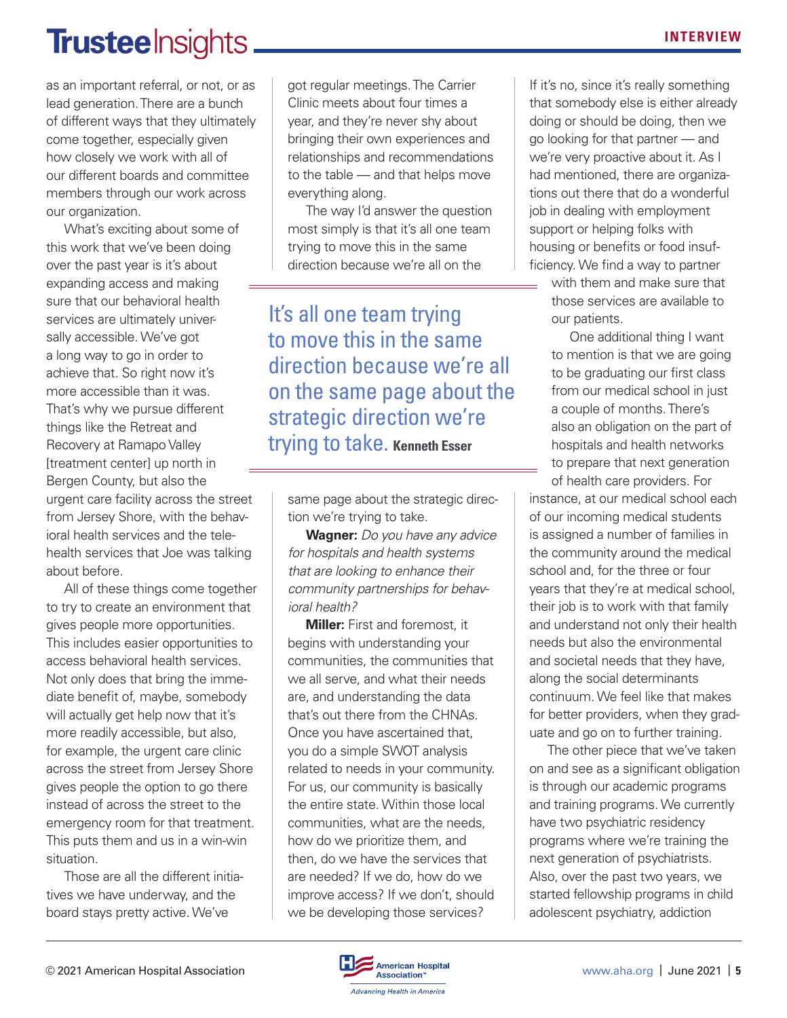### **Trusteelnsights**

as an important referral, or not, or as lead generation. There are a bunch of different ways that they ultimately come together, especially given how closely we work with all of our different boards and committee members through our work across our organization.

What's exciting about some of this work that we've been doing over the past year is it's about expanding access and making sure that our behavioral health services are ultimately universally accessible. We've got a long way to go in order to achieve that. So right now it's more accessible than it was. That's why we pursue different things like the Retreat and Recovery at Ramapo Valley [treatment center] up north in Bergen County, but also the urgent care facility across the street from Jersey Shore, with the behavioral health services and the telehealth services that Joe was talking about before.

All of these things come together to try to create an environment that gives people more opportunities. This includes easier opportunities to access behavioral health services. Not only does that bring the immediate benefit of, maybe, somebody will actually get help now that it's more readily accessible, but also, for example, the urgent care clinic across the street from Jersey Shore gives people the option to go there instead of across the street to the emergency room for that treatment. This puts them and us in a win-win situation.

Those are all the different initiatives we have underway, and the board stays pretty active. We've

got regular meetings. The Carrier Clinic meets about four times a year, and they're never shy about bringing their own experiences and relationships and recommendations to the table — and that helps move everything along.

The way I'd answer the question most simply is that it's all one team trying to move this in the same direction because we're all on the

It's all one team trying to move this in the same direction because we're all on the same page about the strategic direction we're trying to take. **Kenneth Esser**

same page about the strategic direction we're trying to take.

**Wagner:** *Do you have any advice for hospitals and health systems that are looking to enhance their community partnerships for behavioral health?*

**Miller:** First and foremost, it begins with understanding your communities, the communities that we all serve, and what their needs are, and understanding the data that's out there from the CHNAs. Once you have ascertained that, you do a simple SWOT analysis related to needs in your community. For us, our community is basically the entire state. Within those local communities, what are the needs, how do we prioritize them, and then, do we have the services that are needed? If we do, how do we improve access? If we don't, should we be developing those services?

If it's no, since it's really something that somebody else is either already doing or should be doing, then we go looking for that partner — and we're very proactive about it. As I had mentioned, there are organizations out there that do a wonderful job in dealing with employment support or helping folks with housing or benefits or food insufficiency. We find a way to partner

with them and make sure that those services are available to our patients.

One additional thing I want to mention is that we are going to be graduating our first class from our medical school in just a couple of months. There's also an obligation on the part of hospitals and health networks to prepare that next generation of health care providers. For

instance, at our medical school each of our incoming medical students is assigned a number of families in the community around the medical school and, for the three or four years that they're at medical school, their job is to work with that family and understand not only their health needs but also the environmental and societal needs that they have, along the social determinants continuum. We feel like that makes for better providers, when they graduate and go on to further training.

The other piece that we've taken on and see as a significant obligation is through our academic programs and training programs. We currently have two psychiatric residency programs where we're training the next generation of psychiatrists. Also, over the past two years, we started fellowship programs in child adolescent psychiatry, addiction